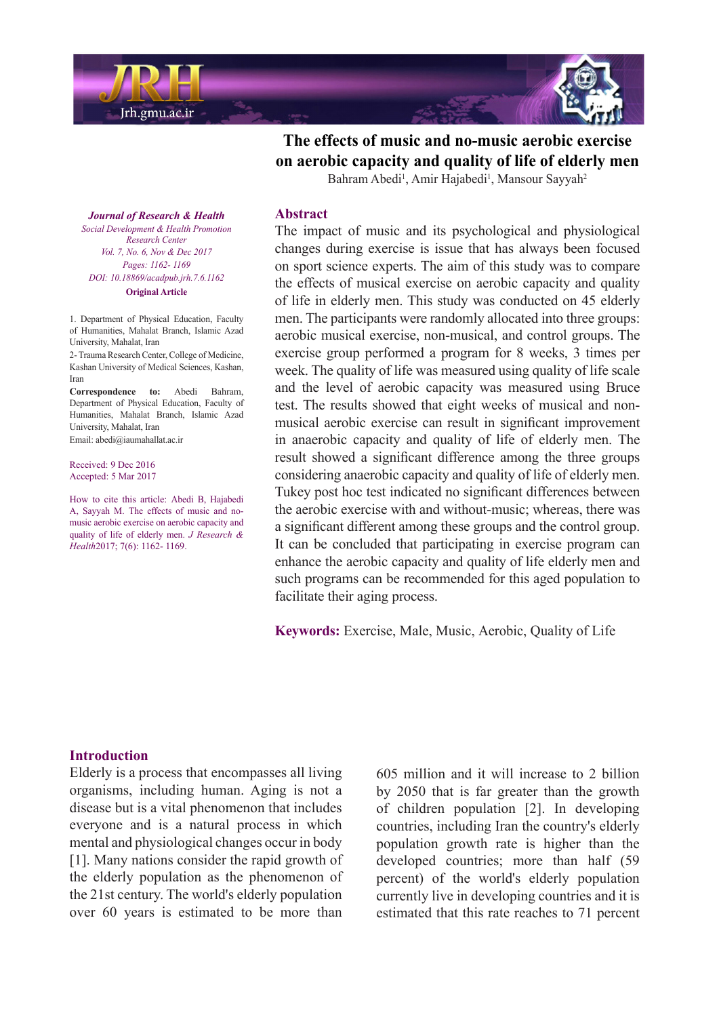

The effects of music and no-music aerobic exercise on aerobic capacity and quality of life of elderly men

Bahram Abedi<sup>1</sup>, Amir Hajabedi<sup>1</sup>, Mansour Sayyah<sup>2</sup>

**Journal of Research & Health**  *Promotion Health & Development Social Center Research Vol. 7, No. 6, Nov & Dec 2017* Pages: 1162- 1169 *DOI*: 10.18869/acadpub.jrh.7.6.1162 **Original Article** 

1. Department of Physical Education, Faculty of Humanities Mahalat Branch Islamic Azad University, Mahalat, Iran

2- Trauma Research Center, College of Medicine, Kashan University of Medical Sciences, Kashan, Iran

Correspondence to: Abedi Bahram. Department of Physical Education, Faculty of Humanities, Mahalat Branch, Islamic Azad University, Mahalat, Iran Email: abedi@iaumahallat.ac.ir

Received: 9 Dec 2016 Accepted: 5 Mar 2017

How to cite this article: Abedi R. Hajabedi music aerobic exercise on aerobic capacity and A, Sayyah M. The effects of music and noquality of life of elderly men. *J Research &* Health<sub>2017</sub>; 7(6): 1162- 1169.

#### **Abstract**

The impact of music and its psychological and physiological changes during exercise is issue that has always been focused on sport science experts. The aim of this study was to compare the effects of musical exercise on aerobic capacity and quality of life in elderly men. This study was conducted on 45 elderly men. The participants were randomly allocated into three groups: aerobic musical exercise, non-musical, and control groups. The exercise group performed a program for 8 weeks, 3 times per week. The quality of life was measured using quality of life scale and the level of aerobic capacity was measured using Bruce musical aerobic exercise can result in significant improvement test. The results showed that eight weeks of musical and nonin anaerobic capacity and quality of life of elderly men. The result showed a significant difference among the three groups considering anaerobic capacity and quality of life of elderly men. Tukey post hoc test indicated no significant differences between the aerobic exercise with and without-music; whereas, there was a significant different among these groups and the control group. It can be concluded that participating in exercise program can enhance the aerobic capacity and quality of life elderly men and such programs can be recommended for this aged population to facilitate their aging process.

Keywords: Exercise, Male, Music, Aerobic, Quality of Life

#### **Introduction**

Elderly is a process that encompasses all living organisms, including human. Aging is not a disease but is a vital phenomenon that includes everyone and is a natural process in which mental and physiological changes occur in body  $[1]$ . Many nations consider the rapid growth of the elderly population as the phenomenon of the 21st century. The world's elderly population over 60 years is estimated to be more than  $605$  million and it will increase to 2 billion by  $2050$  that is far greater than the growth of children population  $[2]$ . In developing countries, including Iran the country's elderly population growth rate is higher than the developed countries; more than half (59) percent) of the world's elderly population currently live in developing countries and it is estimated that this rate reaches to 71 percent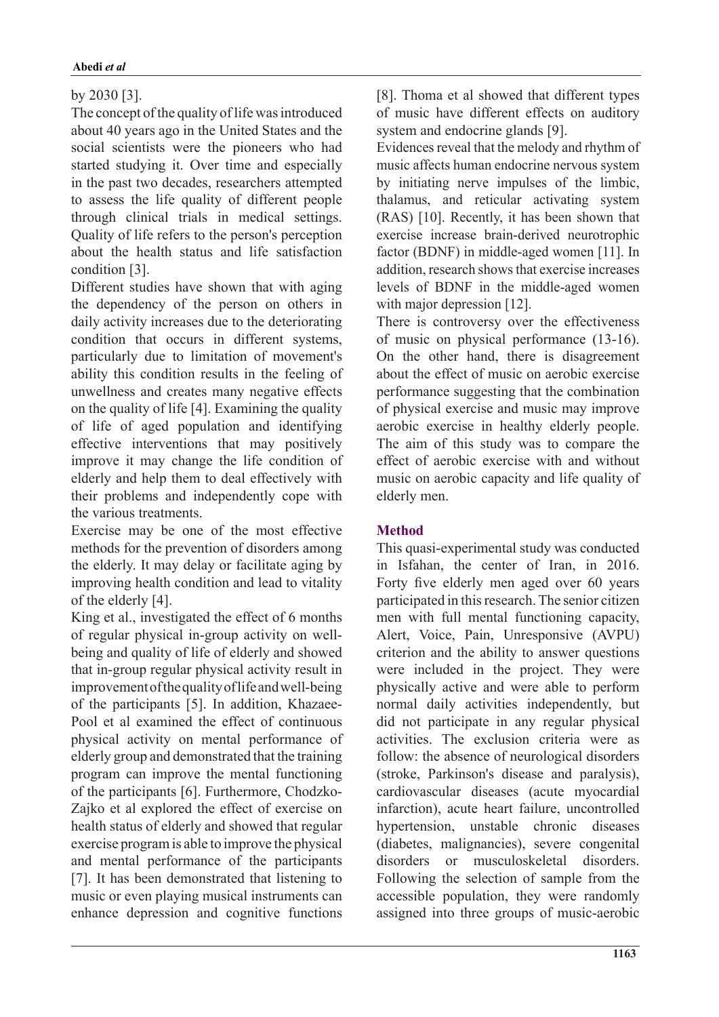# by  $2030$  [3].

The concept of the quality of life was introduced about 40 years ago in the United States and the social scientists were the pioneers who had started studying it. Over time and especially in the past two decades, researchers attempted to assess the life quality of different people through clinical trials in medical settings. Quality of life refers to the person's perception about the health status and life satisfaction condition [3].

Different studies have shown that with aging the dependency of the person on others in daily activity increases due to the deteriorating condition that occurs in different systems, particularly due to limitation of movement's ability this condition results in the feeling of unwellness and creates many negative effects on the quality of life  $[4]$ . Examining the quality of life of aged population and identifying effective interventions that may positively improve it may change the life condition of elderly and help them to deal effectively with their problems and independently cope with the various treatments

Exercise may be one of the most effective methods for the prevention of disorders among the elderly. It may delay or facilitate aging by improving health condition and lead to vitality of the elderly  $[4]$ .

King et al., investigated the effect of  $6$  months being and quality of life of elderly and showed of regular physical in-group activity on wellthat in-group regular physical activity result in improvement of the quality of life and well-being Pool et al examined the effect of continuous of the participants [5]. In addition, Khazaeephysical activity on mental performance of elderly group and demonstrated that the training program can improve the mental functioning Zajko et al explored the effect of exercise on of the participants [6]. Furthermore, Chodzkohealth status of elderly and showed that regular exercise program is able to improve the physical and mental performance of the participants [7]. It has been demonstrated that listening to music or even playing musical instruments can enhance depression and cognitive functions

[8]. Thoma et al showed that different types of music have different effects on auditory system and endocrine glands [9].

Evidences reveal that the melody and rhythm of music affects human endocrine nervous system by initiating nerve impulses of the limbic, thalamus, and reticular activating system  $(RAS)$  [10]. Recently, it has been shown that exercise increase brain-derived neurotrophic factor (BDNF) in middle-aged women  $[11]$ . In addition, research shows that exercise increases levels of BDNF in the middle-aged women with major depression  $[12]$ .

There is controversy over the effectiveness of music on physical performance  $(13-16)$ . On the other hand, there is disagreement about the effect of music on aerobic exercise performance suggesting that the combination of physical exercise and music may improve aerobic exercise in healthy elderly people. The aim of this study was to compare the effect of aerobic exercise with and without music on aerobic capacity and life quality of elderly men.

## **Method**

This quasi-experimental study was conducted in Isfahan, the center of Iran, in  $2016$ . Forty five elderly men aged over 60 years participated in this research. The senior citizen men with full mental functioning capacity, Alert, Voice, Pain, Unresponsive (AVPU) criterion and the ability to answer questions were included in the project. They were physically active and were able to perform normal daily activities independently, but did not participate in any regular physical activities. The exclusion criteria were as follow: the absence of neurological disorders (stroke, Parkinson's disease and paralysis), cardiovascular diseases (acute myocardial infarction), acute heart failure, uncontrolled hypertension, unstable chronic diseases (diabetes, malignancies), severe congenital disorders or musculoskeletal disorders. Following the selection of sample from the accessible population, they were randomly assigned into three groups of music-aerobic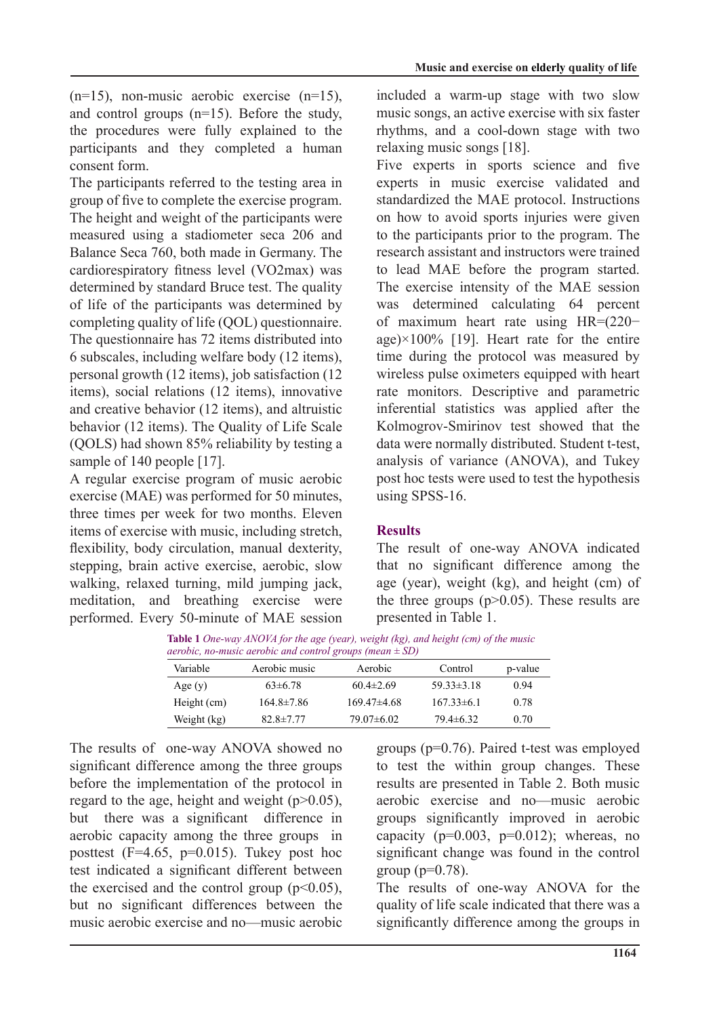$(n=15)$ , non-music aerobic exercise  $(n=15)$ , and control groups  $(n=15)$ . Before the study, the procedures were fully explained to the participants and they completed a human consent form.

The participants referred to the testing area in group of five to complete the exercise program. The height and weight of the participants were measured using a stadiometer seca 206 and Balance Seca 760, both made in Germany. The cardiorespiratory fitness level (VO2max) was determined by standard Bruce test. The quality of life of the participants was determined by completing quality of life (QOL) questionnaire. The questionnaire has 72 items distributed into  $6$  subscales, including welfare body  $(12$  items), personal growth  $(12 \text{ items})$ , job satisfaction  $(12 \text{ items})$ items), social relations (12 items), innovative and creative behavior  $(12 \text{ items})$ , and altruistic behavior (12 items). The Quality of Life Scale  $(OOLS)$  had shown 85% reliability by testing a sample of 140 people  $[17]$ .

A regular exercise program of music aerobic exercise ( $MAE$ ) was performed for 50 minutes. three times per week for two months. Eleven items of exercise with music, including stretch, flexibility, body circulation, manual dexterity, stepping, brain active exercise, aerobic, slow walking, relaxed turning, mild jumping jack, meditation, and breathing exercise were performed. Every 50-minute of MAE session included a warm-up stage with two slow music songs, an active exercise with six faster rhythms, and a cool-down stage with two relaxing music songs  $[18]$ .

Five experts in sports science and five experts in music exercise validated and standardized the MAE protocol. Instructions on how to avoid sports injuries were given to the participants prior to the program. The research assistant and instructors were trained to lead MAE before the program started. The exercise intensity of the MAE session was determined calculating 64 percent of maximum heart rate using  $HR = (220$ age) $\times$ 100% [19]. Heart rate for the entire time during the protocol was measured by wireless pulse oximeters equipped with heart rate monitors. Descriptive and parametric inferential statistics was applied after the Kolmogrov-Smirinov test showed that the data were normally distributed. Student t-test. analysis of variance (ANOVA), and Tukey post hoc tests were used to test the hypothesis using SPSS-16.

# **Results**

The result of one-way ANOVA indicated that no significant difference among the age (year), weight (kg), and height (cm) of the three groups  $(p>0.05)$ . These results are presented in Table 1.

**Table 1** *One-way ANOVA for the age (year), weight (kg), and height (cm) of the music aerobic, no-music aerobic and control groups (mean*  $\pm$  *SD)* 

| Variable    | Aerobic music   | Aerobic         | Control          | p-value |
|-------------|-----------------|-----------------|------------------|---------|
| Age $(y)$   | $63\pm 6.78$    | $60.4 \pm 2.69$ | $59.33 \pm 3.18$ | 0.94    |
| Height (cm) | 164.8±7.86      | $169.47\pm4.68$ | $167.33\pm 6.1$  | 0.78    |
| Weight (kg) | $82.8 \pm 7.77$ | $79.07\pm 6.02$ | $79.4 \pm 6.32$  | 0.70    |

The results of one-way ANOVA showed no significant difference among the three groups before the implementation of the protocol in regard to the age, height and weight  $(p>0.05)$ , but there was a significant difference in aerobic capacity among the three groups in posttest  $(F=4.65, p=0.015)$ . Tukey post hoc test indicated a significant different between the exercised and the control group  $(p<0.05)$ , but no significant differences between the music aerobic exercise and no music aerobic groups ( $p=0.76$ ). Paired t-test was employed to test the within group changes. These results are presented in Table 2. Both music aerobic exercise and no music aerobic groups significantly improved in aerobic capacity ( $p=0.003$ ,  $p=0.012$ ); whereas, no significant change was found in the control group ( $p=0.78$ ).

The results of one-way ANOVA for the quality of life scale indicated that there was a significantly difference among the groups in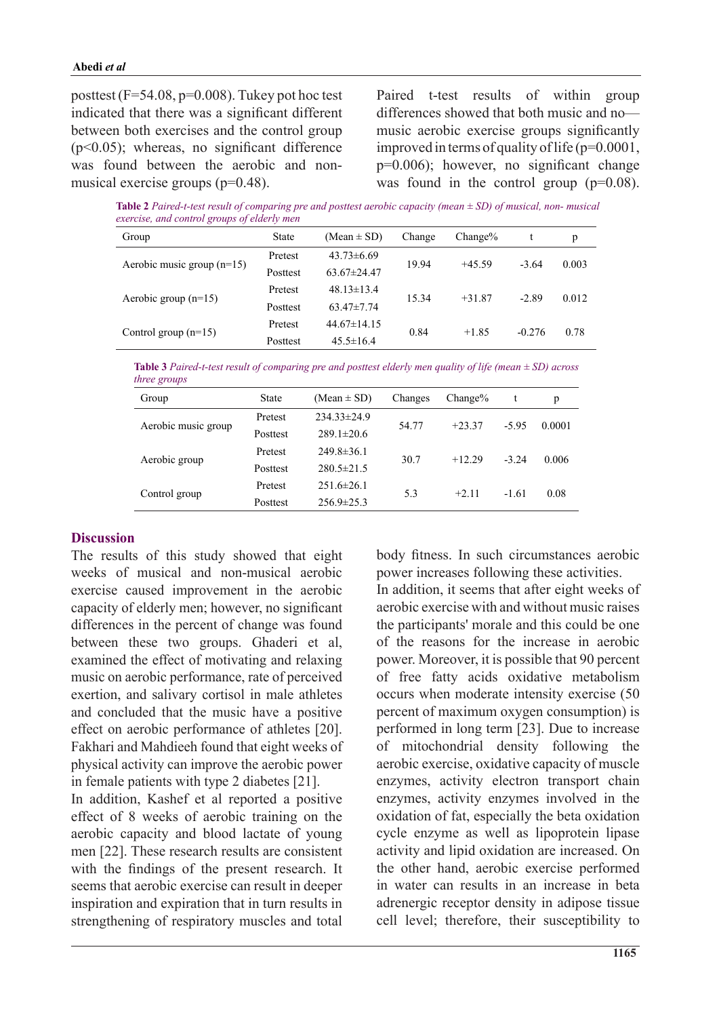posttest  $(F=54.08, p=0.008)$ . Tukey pot hoc test indicated that there was a significant different between both exercises and the control group  $(p<0.05)$ ; whereas, no significant difference was found between the aerobic and non-<br>musical exercise groups  $(p=0.48)$ .

Paired t-test results of within group differences showed that both music and nomusic aerobic exercise groups significantly improved in terms of quality of life  $(p=0.0001)$ ,  $p=0.006$ ; however, no significant change was found in the control group  $(p=0.08)$ .

*Table 2 Paired-t-test result of comparing pre and posttest aerobic capacity (mean*  $\pm$  *SD) of musical, non-musical exercise, and control groups of elderly men* 

| Group                        | <b>State</b> | (Mean $\pm$ SD)   | Change | $Change\%$ |          | p     |
|------------------------------|--------------|-------------------|--------|------------|----------|-------|
| Aerobic music group $(n=15)$ | Pretest      | $43.73\pm 6.69$   | 19.94  | $+45.59$   | $-3.64$  | 0.003 |
|                              | Posttest     | $63.67 \pm 24.47$ |        |            |          |       |
| Aerobic group $(n=15)$       | Pretest      | $48.13 \pm 13.4$  | 15.34  | $+31.87$   | $-2.89$  | 0.012 |
|                              | Posttest     | $63.47 \pm 7.74$  |        |            |          |       |
|                              | Pretest      | $44.67 \pm 14.15$ | 0.84   | $+1.85$    | $-0.276$ | 0.78  |
| Control group $(n=15)$       | Posttest     | $45.5 \pm 16.4$   |        |            |          |       |

*Table 3 Paired-t-test result of comparing pre and posttest elderly men quality of life (mean*  $\pm$  *SD) across three* groups

| Group               | <b>State</b> | $(Mean \pm SD)$   | Changes | $Change\%$ |         | р      |
|---------------------|--------------|-------------------|---------|------------|---------|--------|
| Aerobic music group | Pretest      | $234.33 \pm 24.9$ | 54.77   | $+23.37$   | $-5.95$ | 0.0001 |
|                     | Posttest     | $289.1 \pm 20.6$  |         |            |         |        |
|                     | Pretest      | $249.8 \pm 36.1$  | 30.7    | $+12.29$   | $-3.24$ | 0.006  |
| Aerobic group       | Posttest     | $280.5 \pm 21.5$  |         |            |         |        |
|                     | Pretest      | $251.6 \pm 26.1$  | 5.3     | $+2.11$    | $-1.61$ | 0.08   |
| Control group       | Posttest     | $256.9 \pm 25.3$  |         |            |         |        |

### **Discussion**

The results of this study showed that eight weeks of musical and non-musical aerobic exercise caused improvement in the aerobic capacity of elderly men; however, no significant differences in the percent of change was found between these two groups. Ghaderi et al, examined the effect of motivating and relaxing music on aerobic performance, rate of perceived exertion, and salivary cortisol in male athletes and concluded that the music have a positive effect on aerobic performance of athletes [20]. Fakhari and Mahdieeh found that eight weeks of physical activity can improve the aerobic power in female patients with type 2 diabetes  $[21]$ .

In addition, Kashef et al reported a positive effect of 8 weeks of aerobic training on the aerobic capacity and blood lactate of young men  $[22]$ . These research results are consistent with the findings of the present research. It seems that aerobic exercise can result in deeper inspiration and expiration that in turn results in strengthening of respiratory muscles and total body fitness. In such circumstances aerobic power increases following these activities. In addition it seems that after eight weeks of aerobic exercise with and without music raises the participants' morale and this could be one of the reasons for the increase in aerobic power. Moreover, it is possible that 90 percent of free fatty acids oxidative metabolism occurs when moderate intensity exercise (50) percent of maximum oxygen consumption) is performed in long term [23]. Due to increase of mitochondrial density following the aerobic exercise, oxidative capacity of muscle enzymes, activity electron transport chain enzymes, activity enzymes involved in the oxidation of fat, especially the beta oxidation cycle enzyme as well as lipoprotein lipase activity and lipid oxidation are increased. On the other hand, aerobic exercise performed in water can results in an increase in beta adrenergic receptor density in adipose tissue cell level; therefore, their susceptibility to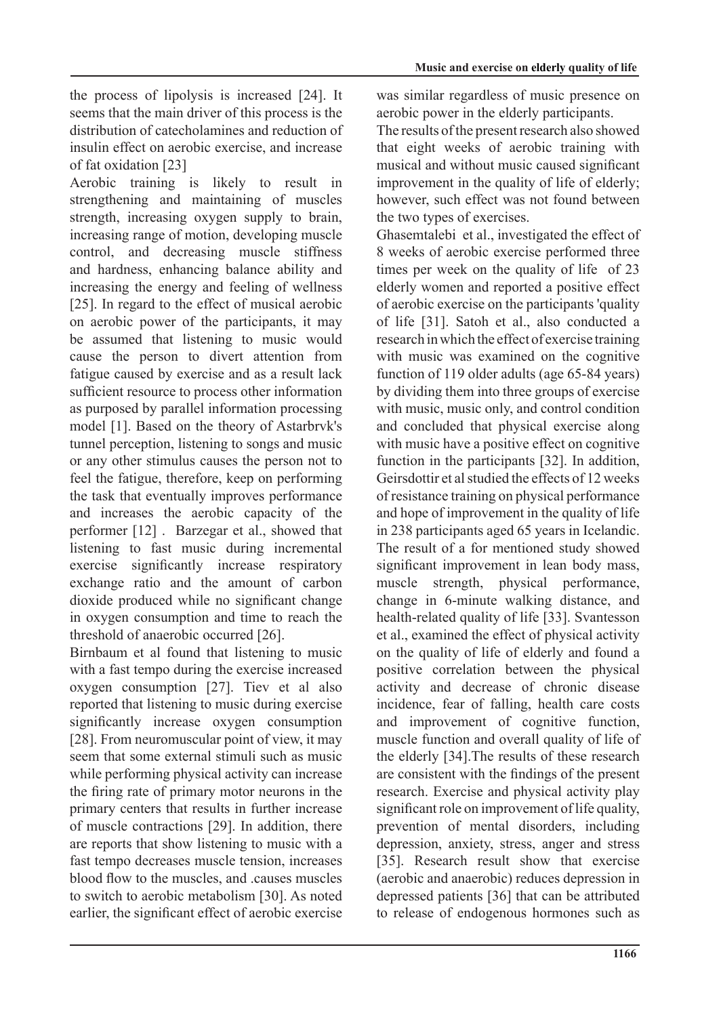the process of lipolysis is increased  $[24]$ . It seems that the main driver of this process is the distribution of catecholamines and reduction of insulin effect on aerobic exercise, and increase of fat oxidation  $[23]$ 

Aerobic training is likely to result in strengthening and maintaining of muscles strength, increasing oxygen supply to brain, increasing range of motion, developing muscle control, and decreasing muscle stiffness and hardness, enhancing balance ability and increasing the energy and feeling of wellness  $[25]$ . In regard to the effect of musical aerobic on aerobic power of the participants, it may be assumed that listening to music would cause the person to divert attention from fatigue caused by exercise and as a result lack sufficient resource to process other information as purposed by parallel information processing model [1]. Based on the theory of Astarbryk's tunnel perception, listening to songs and music or any other stimulus causes the person not to feel the fatigue, therefore, keep on performing the task that eventually improves performance and increases the aerobic capacity of the performer  $[12]$ . Barzegar et al., showed that listening to fast music during incremental exercise significantly increase respiratory exchange ratio and the amount of carbon dioxide produced while no significant change in oxygen consumption and time to reach the threshold of anaerobic occurred [26].

Birnbaum et al found that listening to music with a fast tempo during the exercise increased oxygen consumption  $[27]$ . Tiev et al also reported that listening to music during exercise significantly increase oxygen consumption [ $28$ ]. From neuromuscular point of view, it may seem that some external stimuli such as music while performing physical activity can increase the firing rate of primary motor neurons in the primary centers that results in further increase of muscle contractions [29]. In addition, there are reports that show listening to music with a fast tempo decreases muscle tension, increases blood flow to the muscles, and ,causes muscles to switch to aerobic metabolism [30]. As noted earlier, the significant effect of aerobic exercise

was similar regardless of music presence on aerobic power in the elderly participants.

The results of the present research also showed that eight weeks of aerobic training with musical and without music caused significant improvement in the quality of life of elderly; however, such effect was not found between the two types of exercises.

Ghasemtalebi et al., investigated the effect of 8 weeks of aerobic exercise performed three times per week on the quality of life of 23 elderly women and reported a positive effect of aerobic exercise on the participants 'quality of life [31]. Satoh et al., also conducted a research in which the effect of exercise training with music was examined on the cognitive function of 119 older adults (age  $65-84$  years) by dividing them into three groups of exercise with music, music only, and control condition and concluded that physical exercise along with music have a positive effect on cognitive function in the participants  $[32]$ . In addition, Geirsdottir et al studied the effects of 12 weeks of resistance training on physical performance and hope of improvement in the quality of life in 238 participants aged 65 years in Icelandic. The result of a for mentioned study showed significant improvement in lean body mass. muscle strength, physical performance, change in 6-minute walking distance, and health-related quality of life [33]. Svantesson et al., examined the effect of physical activity. on the quality of life of elderly and found a positive correlation between the physical activity and decrease of chronic disease incidence, fear of falling, health care costs and improvement of cognitive function. muscle function and overall quality of life of the elderly [34]. The results of these research are consistent with the findings of the present research. Exercise and physical activity play significant role on improvement of life quality, prevention of mental disorders, including depression, anxiety, stress, anger and stress [35]. Research result show that exercise (aerobic and anaerobic) reduces depression in depressed patients [36] that can be attributed to release of endogenous hormones such as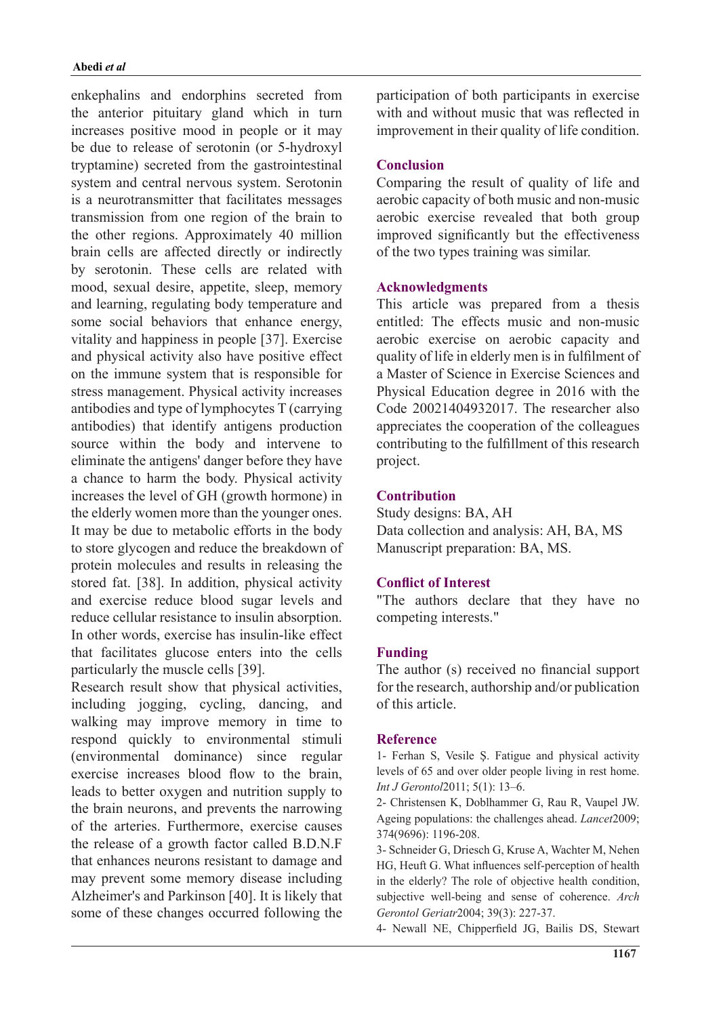#### *al et* **Abedi**

enkephalins and endorphins secreted from the anterior pituitary gland which in turn increases positive mood in people or it may be due to release of serotonin (or 5-hydroxyl) tryptamine) secreted from the gastrointestinal system and central nervous system. Serotonin is a neurotransmitter that facilitates messages transmission from one region of the brain to the other regions. Approximately 40 million brain cells are affected directly or indirectly by serotonin. These cells are related with mood, sexual desire, appetite, sleep, memory and learning, regulating body temperature and some social behaviors that enhance energy, vitality and happiness in people [37]. Exercise and physical activity also have positive effect on the immune system that is responsible for stress management. Physical activity increases antibodies and type of lymphocytes  $T$  (carrying antibodies) that identify antigens production source within the body and intervene to eliminate the antigens' danger before they have a chance to harm the body. Physical activity increases the level of GH (growth hormone) in the elderly women more than the younger ones. It may be due to metabolic efforts in the body to store glycogen and reduce the breakdown of protein molecules and results in releasing the stored fat. [38]. In addition, physical activity and exercise reduce blood sugar levels and reduce cellular resistance to insulin absorption. In other words, exercise has insulin-like effect that facilitates glucose enters into the cells particularly the muscle cells [39].

Research result show that physical activities, including jogging, cycling, dancing, and walking may improve memory in time to respond quickly to environmental stimuli (environmental dominance) since regular exercise increases blood flow to the brain, leads to better oxygen and nutrition supply to the brain neurons, and prevents the narrowing of the arteries. Furthermore, exercise causes the release of a growth factor called B.D.N.F that enhances neurons resistant to damage and may prevent some memory disease including Alzheimer's and Parkinson [40]. It is likely that some of these changes occurred following the participation of both participants in exercise with and without music that was reflected in improvement in their quality of life condition.

#### **Conclusion**

Comparing the result of quality of life and aerobic capacity of both music and non-music aerobic exercise revealed that both group improved significantly but the effectiveness of the two types training was similar.

### **Acknowledgments**

This article was prepared from a thesis entitled: The effects music and non-music aerobic exercise on aerobic capacity and quality of life in elderly men is in fulfilment of a Master of Science in Exercise Sciences and Physical Education degree in 2016 with the Code 20021404932017. The researcher also appreciates the cooperation of the colleagues contributing to the fulfillment of this research project.

### **Contribution**

Study designs: BA, AH Data collection and analysis: AH, BA, MS Manuscript preparation: BA, MS.

#### **Conflict of Interest**

"The authors declare that they have no competing interests."

#### **Funding**

The author (s) received no financial support for the research, authorship and/or publication of this article.

#### **Reference**

1- Ferhan S, Vesile S. Fatigue and physical activity levels of 65 and over older people living in rest home. *Int J Gerontol* 2011; 5(1): 13-6.

2- Christensen K, Doblhammer G, Rau R, Vaupel JW. Ageing populations: the challenges ahead. *Lancet* 2009; 374(9696): 1196-208.

3- Schneider G, Driesch G, Kruse A, Wachter M, Nehen HG, Heuft G. What influences self-perception of health in the elderly? The role of objective health condition, subjective well-being and sense of coherence. Arch Gerontol Geriatr 2004; 39(3): 227-37.

4- Newall NE, Chipperfield JG, Bailis DS, Stewart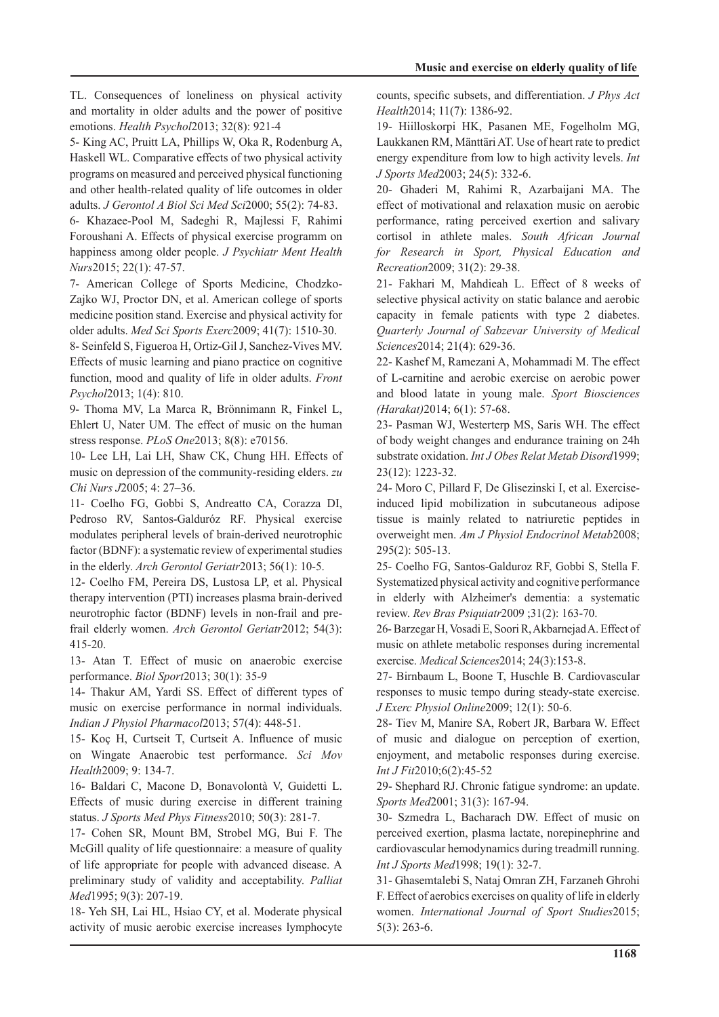TL. Consequences of loneliness on physical activity and mortality in older adults and the power of positive emotions. Health Psychol2013; 32(8): 921-4

5- King AC, Pruitt LA, Phillips W, Oka R, Rodenburg A, Haskell WL. Comparative effects of two physical activity programs on measured and perceived physical functioning and other health-related quality of life outcomes in older adults. *J Gerontol A Biol Sci Med Sci* 2000; 55(2): 74-83.

6- Khazaee-Pool M, Sadeghi R, Majlessi F, Rahimi Foroushani A. Effects of physical exercise programm on happiness among older people. *J Psychiatr Ment Health* Nurs2015; 22(1): 47-57.

Zajko WJ, Proctor DN, et al. American college of sports 7- American College of Sports Medicine, Chodzkomedicine position stand. Exercise and physical activity for older adults. Med Sci Sports Exerc 2009; 41(7): 1510-30.

8- Seinfeld S, Figueroa H, Ortiz-Gil J, Sanchez-Vives MV. Effects of music learning and piano practice on cognitive function, mood and quality of life in older adults. *Front* Psychol2013; 1(4): 810.

9- Thoma MV, La Marca R, Brönnimann R, Finkel L, Ehlert U, Nater UM. The effect of music on the human stress response. PLoS One 2013; 8(8): e70156.

10- Lee LH, Lai LH, Shaw CK, Chung HH. Effects of music on depression of the community-residing elders. zu Chi Nurs J2005; 4: 27-36.

11- Coelho FG, Gobbi S, Andreatto CA, Corazza DI, Pedroso RV, Santos-Galduróz RF. Physical exercise modulates peripheral levels of brain-derived neurotrophic factor (BDNF): a systematic review of experimental studies in the elderly. Arch Gerontol Geriatr 2013; 56(1): 10-5.

12- Coelho FM, Pereira DS, Lustosa LP, et al. Physical therapy intervention (PTI) increases plasma brain-derived frail elderly women. Arch Gerontol Geriatr2012; 54(3): neurotrophic factor (BDNF) levels in non-frail and pre-415-20.

13- Atan T. Effect of music on anaerobic exercise performance. *Biol Sport* 2013; 30(1): 35-9

14- Thakur AM, Yardi SS. Effect of different types of music on exercise performance in normal individuals. Indian J Physiol Pharmacol<sup>2013</sup>; 57(4): 448-51.

15- Koç H, Curtseit T, Curtseit A. Influence of music on Wingate Anaerobic test performance. Sci Mov Health<sub>2009</sub>; 9: 134-7.

16- Baldari C, Macone D, Bonavolontà V, Guidetti L.  $E$ ffects of music during exercise in different training status. *J Sports Med Phys Fitness* 2010; 50(3): 281-7.

17- Cohen SR, Mount BM, Strobel MG, Bui F. The McGill quality of life questionnaire: a measure of quality of life appropriate for people with advanced disease. A preliminary study of validity and acceptability. Palliat Med1995; 9(3): 207-19.

18- Yeh SH, Lai HL, Hsiao CY, et al. Moderate physical activity of music aerobic exercise increases lymphocyte counts, specific subsets, and differentiation. *J Phys Act* Health<sub>2014</sub>; 11(7): 1386-92.

19- Hiilloskorpi HK, Pasanen ME, Fogelholm MG, Laukkanen RM, Mänttäri AT. Use of heart rate to predict energy expenditure from low to high activity levels. *Int* J Sports Med 2003; 24(5): 332-6.

20- Ghaderi M, Rahimi R, Azarbaijani MA. The effect of motivational and relaxation music on aerobic performance, rating perceived exertion and salivary cortisol in athlete males. South African Journal for Research in Sport, Physical Education and Recreation2009; 31(2): 29-38.

21- Fakhari M, Mahdieah L. Effect of 8 weeks of selective physical activity on static balance and aerobic capacity in female patients with type 2 diabetes. *Quarterly Journal of Sabzevar University of Medical* Sciences2014; 21(4): 629-36.

22- Kashef M, Ramezani A, Mohammadi M. The effect of L-carnitine and aerobic exercise on aerobic power and blood latate in young male. Sport Biosciences (Harakat) 2014; 6(1): 57-68.

23- Pasman WJ, Westerterp MS, Saris WH. The effect of body weight changes and endurance training on 24h substrate oxidation. Int J Obes Relat Metab Disord 1999; 23(12): 1223-32.

induced lipid mobilization in subcutaneous adipose 24- Moro C, Pillard F, De Glisezinski I, et al. Exercisetissue is mainly related to natriuretic peptides in overweight men. Am J Physiol Endocrinol Metab2008;  $295(2): 505-13.$ 

25- Coelho FG, Santos-Galduroz RF, Gobbi S, Stella F. Systematized physical activity and cognitive performance in elderly with Alzheimer's dementia: a systematic review. Rev Bras Psiquiatr2009 ;31(2): 163-70.

26- Barzegar H, Vosadi E, Soori R, Akbarnejad A. Effect of music on athlete metabolic responses during incremental exercise. *Medical Sciences* 2014; 24(3):153-8.

27- Birnbaum L, Boone T, Huschle B. Cardiovascular responses to music tempo during steady-state exercise. J Exerc Physiol Online 2009; 12(1): 50-6.

28- Tiev M, Manire SA, Robert JR, Barbara W. Effect of music and dialogue on perception of exertion, enjoyment, and metabolic responses during exercise. Int J Fit2010;6(2):45-52

29- Shephard RJ. Chronic fatigue syndrome: an update. Sports Med 2001; 31(3): 167-94.

30- Szmedra L, Bacharach DW. Effect of music on perceived exertion, plasma lactate, norepinephrine and cardiovascular hemodynamics during treadmill running. Int J Sports Med 1998; 19(1): 32-7.

31- Ghasemtalebi S, Nataj Omran ZH, Farzaneh Ghrohi F. Effect of aerobics exercises on quality of life in elderly women. International Journal of Sport Studies2015;  $5(3)$ : 263-6.